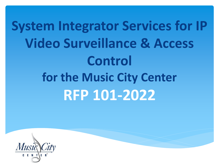**System Integrator Services for IP Video Surveillance & Access Control for the Music City Center RFP 101-2022**

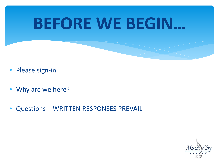# **BEFORE WE BEGIN…**

- Please sign-in
- Why are we here?
- Questions WRITTEN RESPONSES PREVAIL

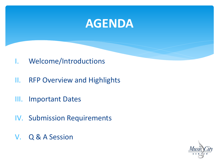## **AGENDA**

- I. Welcome/Introductions
- II. RFP Overview and Highlights
- III. Important Dates
- IV. Submission Requirements
- V. Q & A Session

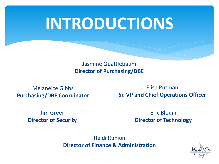# **INTRODUCTIONS**

Jasmine Quattlebaum **Director of Purchasing/DBE**

Melaneice Gibbs **Purchasing/DBE Coordinator**

> Jim Greer **Director of Security**

Elisa Putman **Sr. VP and Chief Operations Officer**

> Eric Blouin **Director of Technology**

Heidi Runion **Director of Finance & Administration**

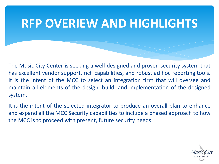The Music City Center is seeking a well-designed and proven security system that has excellent vendor support, rich capabilities, and robust ad hoc reporting tools. It is the intent of the MCC to select an integration firm that will oversee and maintain all elements of the design, build, and implementation of the designed system.

It is the intent of the selected integrator to produce an overall plan to enhance and expand all the MCC Security capabilities to include a phased approach to how the MCC is to proceed with present, future security needs.

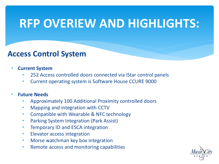#### **Access Control System**

- **Current System**
	- 252 Access controlled doors connected via iStar control panels
	- Current operating system is Software House CCURE 9000

#### • **Future Needs**

- Approximately 100 Additional Proximity controlled doors
- Mapping and integration with CCTV
- Compatible with Wearable & NFC technology
- Parking System Integration (Park Assist)
- Temporary ID and ESCA integration
- Elevator access integration
- Morse watchman key box integration
- Remote access and monitoring capabilities

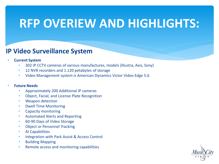#### **IP Video Surveillance System**

- **Current System**
	- 302 IP CCTV cameras of various manufactures, models (Illustra, Axis, Sony)
	- 12 NVR recorders and 1.120 petabytes of storage
	- Video Management system is American Dynamics Victor Video Edge 5.6

#### • **Future Needs**

- Approximately 200 Additional IP cameras
- Object, Facial, and License Plate Recognition
- Weapon detection
- Dwell Time Monitoring
- Capacity monitoring
- Automated Alerts and Reporting
- 60-90 Days of Video Storage
- **Object or Personnel Tracking**
- AI Capabilities
- Integration with Park Assist & Access Control
- Building Mapping
- Remote access and monitoring capabilities

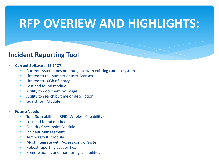#### **Incident Reporting Tool**

#### • **Current Software ISS 24X7**

- Current system does not integrate with existing camera system
- Limited to the number of user licenses
- Limited to 10Gb of storage
- Lost and found module
- Ability to document by image
- Ability to search by time or description
- Guard Tour Module

#### • **Future Needs**

- Tour Scan abilities (RFID, Wireless Capability)
- Lost and found module
- **Security Checkpoint Module**
- Incident Management
- Temporary ID Module
- Must integrate with Access control System
- Robust reporting capabilities
- Remote access and monitoring capabilities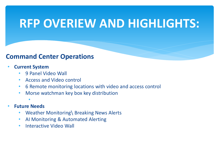#### **Command Center Operations**

#### • **Current System**

- 9 Panel Video Wall
- Access and Video control
- 6 Remote monitoring locations with video and access control
- Morse watchman key box key distribution
- • **Future Needs**
	- Weather Monitoring\ Breaking News Alerts
	- AI Monitoring & Automated Alerting
	- Interactive Video Wall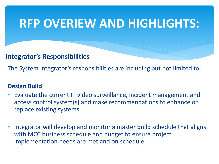#### **Integrator's Responsibilities**

The System Integrator's responsibilities are including but not limited to:

#### **Design Build**

- Evaluate the current IP video surveillance, incident management and access control system(s) and make recommendations to enhance or replace existing systems.
- Integrator will develop and monitor a master build schedule that aligns with MCC business schedule and budget to ensure project implementation needs are met and on schedule.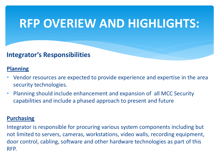#### **Integrator's Responsibilities**

#### **Planning**

- Vendor resources are expected to provide experience and expertise in the area security technologies.
- Planning should include enhancement and expansion of all MCC Security capabilities and include a phased approach to present and future

#### **Purchasing**

Integrator is responsible for procuring various system components including but not limited to servers, cameras, workstations, video walls, recording equipment, door control, cabling, software and other hardware technologies as part of this RFP.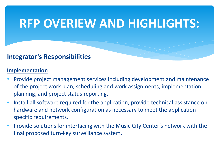#### **Integrator's Responsibilities**

#### **Implementation**

- Provide project management services including development and maintenance of the project work plan, scheduling and work assignments, implementation planning, and project status reporting.
- Install all software required for the application, provide technical assistance on hardware and network configuration as necessary to meet the application specific requirements.
- Provide solutions for interfacing with the Music City Center's network with the final proposed turn-key surveillance system.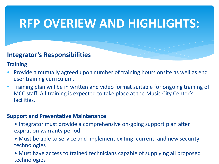#### **Integrator's Responsibilities**

#### **Training**

- Provide a mutually agreed upon number of training hours onsite as well as end user training curriculum.
- Training plan will be in written and video format suitable for ongoing training of MCC staff. All training is expected to take place at the Music City Center's facilities.

#### **Support and Preventative Maintenance**

- Integrator must provide a comprehensive on-going support plan after expiration warranty period.
- Must be able to service and implement exiting, current, and new security technologies
- Must have access to trained technicians capable of supplying all proposed technologies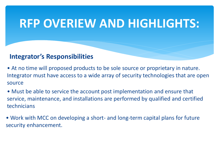#### **Integrator's Responsibilities**

• At no time will proposed products to be sole source or proprietary in nature. Integrator must have access to a wide array of security technologies that are open source

• Must be able to service the account post implementation and ensure that service, maintenance, and installations are performed by qualified and certified technicians

• Work with MCC on developing a short- and long-term capital plans for future security enhancement.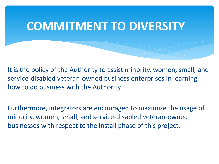### **COMMITMENT TO DIVERSITY**

It is the policy of the Authority to assist minority, women, small, and service-disabled veteran-owned business enterprises in learning how to do business with the Authority.

Furthermore, integrators are encouraged to maximize the usage of minority, women, small, and service-disabled veteran-owned businesses with respect to the install phase of this project.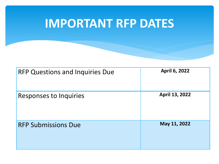## **IMPORTANT RFP DATES**

| <b>RFP Questions and Inquiries Due</b> | <b>April 6, 2022</b> |
|----------------------------------------|----------------------|
| <b>Responses to Inquiries</b>          | April 13, 2022       |
| <b>RFP Submissions Due</b>             | May 11, 2022         |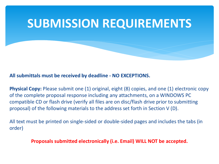#### **All submittals must be received by deadline - NO EXCEPTIONS.**

**Physical Copy:** Please submit one (1) original, eight (8) copies, and one (1) electronic copy of the complete proposal response including any attachments, on a WINDOWS PC compatible CD or flash drive (verify all files are on disc/flash drive prior to submitting proposal) of the following materials to the address set forth in Section V (D).

All text must be printed on single-sided or double-sided pages and includes the tabs (in order)

**Proposals submitted electronically (i.e. Email) WILL NOT be accepted.**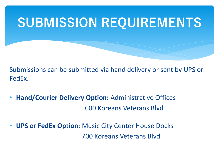Submissions can be submitted via hand delivery or sent by UPS or FedEx.

- **Hand/Courier Delivery Option:** Administrative Offices 600 Koreans Veterans Blvd
- **UPS or FedEx Option**: Music City Center House Docks 700 Koreans Veterans Blvd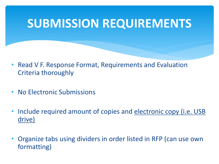- Read V F. Response Format, Requirements and Evaluation Criteria thoroughly
- No Electronic Submissions
- Include required amount of copies and electronic copy (i.e. USB drive)
- Organize tabs using dividers in order listed in RFP (can use own formatting)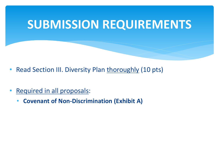- Read Section III. Diversity Plan thoroughly (10 pts)
- Required in all proposals:
	- **Covenant of Non-Discrimination (Exhibit A)**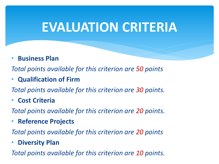## **EVALUATION CRITERIA**

• **Business Plan**

*Total points available for this criterion are 50 points*

• **Qualification of Firm**

*Total points available for this criterion are 30 points.*

• **Cost Criteria** 

*Total points available for this criterion are 20 points.*

• **Reference Projects**

*Total points available for this criterion are 20 points*

• **Diversity Plan**

*Total points available for this criterion are 10 points.*